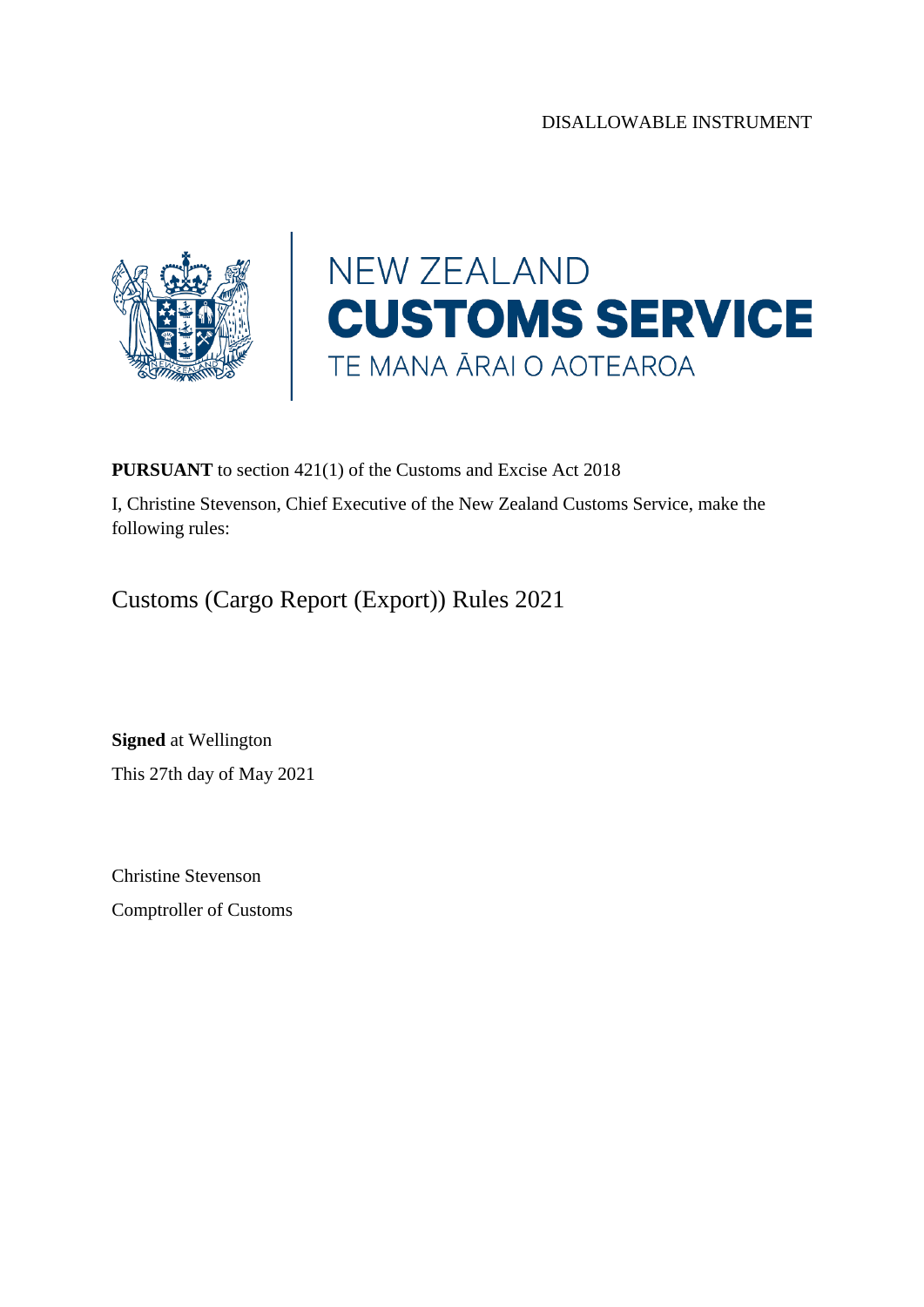

# **NEW ZEALAND<br>CUSTOMS SERVICE** TE MANA ĀRAI O AOTEAROA

**PURSUANT** to section 421(1) of the Customs and Excise Act 2018

I, Christine Stevenson, Chief Executive of the New Zealand Customs Service, make the following rules:

Customs (Cargo Report (Export)) Rules 2021

**Signed** at Wellington This 27th day of May 2021

Christine Stevenson Comptroller of Customs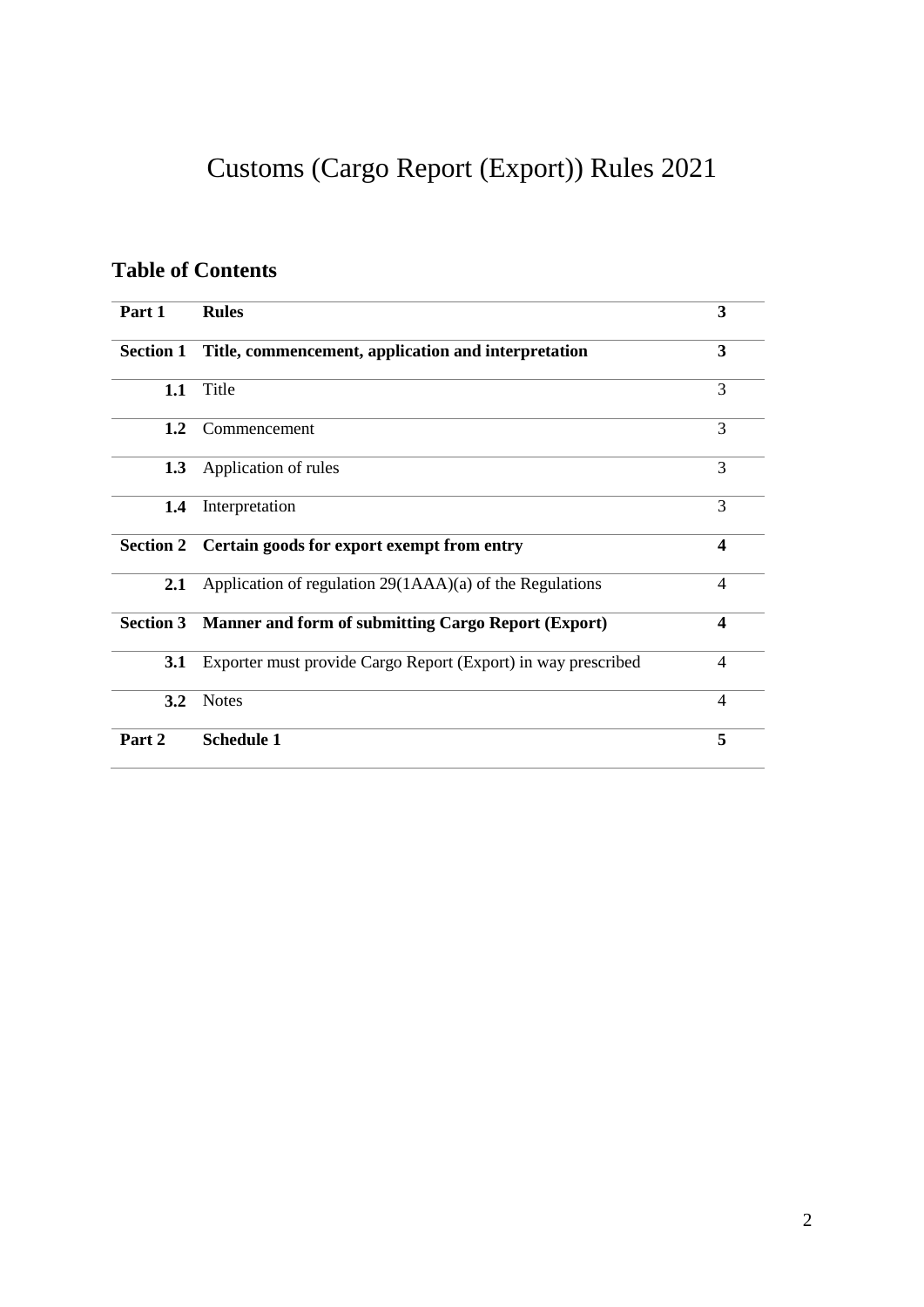## Customs (Cargo Report (Export)) Rules 2021

### **Table of Contents**

| Part 1           | <b>Rules</b>                                                  | 3                        |
|------------------|---------------------------------------------------------------|--------------------------|
| <b>Section 1</b> | Title, commencement, application and interpretation           | 3                        |
| 1.1              | Title                                                         | 3                        |
| 1.2              | Commencement                                                  | 3                        |
| 1.3              | Application of rules                                          | 3                        |
| 1.4              | Interpretation                                                | 3                        |
| <b>Section 2</b> | Certain goods for export exempt from entry                    | 4                        |
| 2.1              | Application of regulation $29(1AAA)(a)$ of the Regulations    | $\overline{\mathcal{A}}$ |
| <b>Section 3</b> | <b>Manner and form of submitting Cargo Report (Export)</b>    | 4                        |
| 3.1              | Exporter must provide Cargo Report (Export) in way prescribed | $\overline{4}$           |
| 3.2              | <b>Notes</b>                                                  | 4                        |
| Part 2           | <b>Schedule 1</b>                                             | 5                        |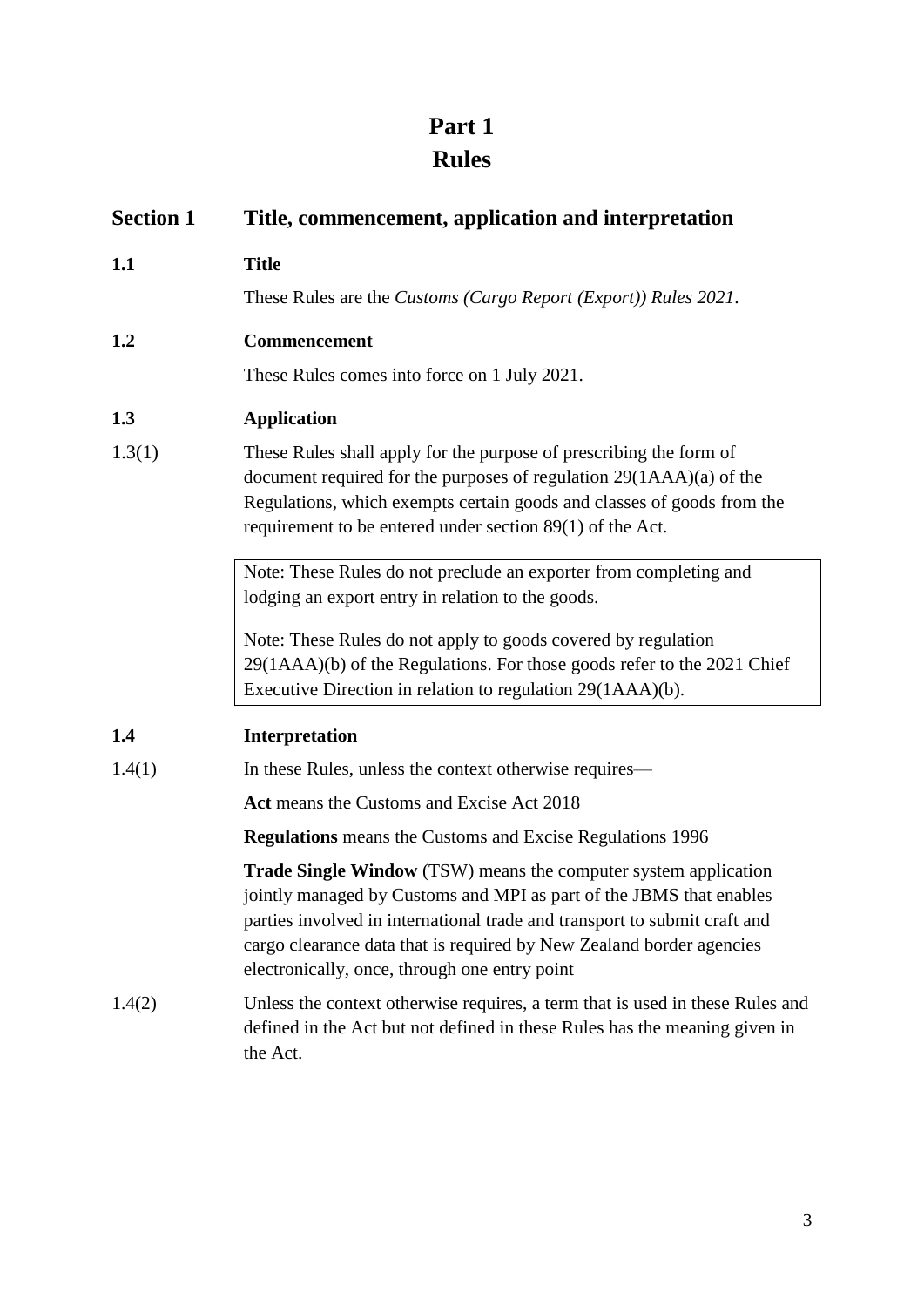## **Part 1 Rules**

| <b>Section 1</b> | Title, commencement, application and interpretation                                                                                                                                                                                                                                                                                                 |  |
|------------------|-----------------------------------------------------------------------------------------------------------------------------------------------------------------------------------------------------------------------------------------------------------------------------------------------------------------------------------------------------|--|
| 1.1              | <b>Title</b>                                                                                                                                                                                                                                                                                                                                        |  |
|                  | These Rules are the Customs (Cargo Report (Export)) Rules 2021.                                                                                                                                                                                                                                                                                     |  |
| 1.2              | Commencement                                                                                                                                                                                                                                                                                                                                        |  |
|                  | These Rules comes into force on 1 July 2021.                                                                                                                                                                                                                                                                                                        |  |
| 1.3              | <b>Application</b>                                                                                                                                                                                                                                                                                                                                  |  |
| 1.3(1)           | These Rules shall apply for the purpose of prescribing the form of<br>document required for the purposes of regulation $29(1AAA)(a)$ of the<br>Regulations, which exempts certain goods and classes of goods from the<br>requirement to be entered under section $89(1)$ of the Act.                                                                |  |
|                  | Note: These Rules do not preclude an exporter from completing and<br>lodging an export entry in relation to the goods.                                                                                                                                                                                                                              |  |
|                  | Note: These Rules do not apply to goods covered by regulation<br>29(1AAA)(b) of the Regulations. For those goods refer to the 2021 Chief<br>Executive Direction in relation to regulation 29(1AAA)(b).                                                                                                                                              |  |
| 1.4              | Interpretation                                                                                                                                                                                                                                                                                                                                      |  |
| 1.4(1)           | In these Rules, unless the context otherwise requires—                                                                                                                                                                                                                                                                                              |  |
|                  | Act means the Customs and Excise Act 2018                                                                                                                                                                                                                                                                                                           |  |
|                  | <b>Regulations</b> means the Customs and Excise Regulations 1996                                                                                                                                                                                                                                                                                    |  |
|                  | <b>Trade Single Window</b> (TSW) means the computer system application<br>jointly managed by Customs and MPI as part of the JBMS that enables<br>parties involved in international trade and transport to submit craft and<br>cargo clearance data that is required by New Zealand border agencies<br>electronically, once, through one entry point |  |
| 1.4(2)           | Unless the context otherwise requires, a term that is used in these Rules and<br>defined in the Act but not defined in these Rules has the meaning given in<br>the Act.                                                                                                                                                                             |  |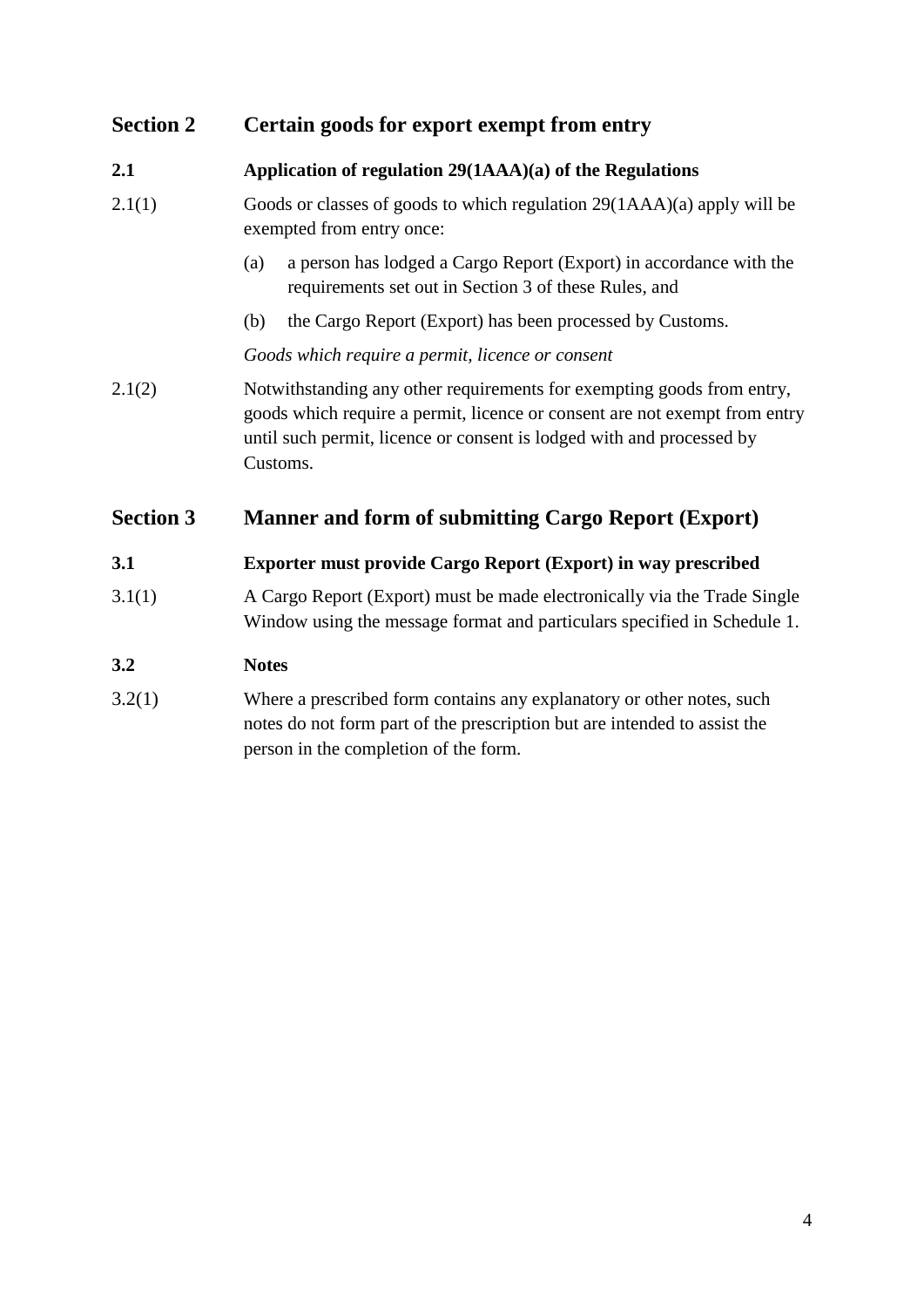| <b>Section 2</b> | Certain goods for export exempt from entry                                                                                                                                                                                                |  |
|------------------|-------------------------------------------------------------------------------------------------------------------------------------------------------------------------------------------------------------------------------------------|--|
| 2.1              | Application of regulation 29(1AAA)(a) of the Regulations                                                                                                                                                                                  |  |
| 2.1(1)           | Goods or classes of goods to which regulation 29(1AAA)(a) apply will be<br>exempted from entry once:                                                                                                                                      |  |
|                  | a person has lodged a Cargo Report (Export) in accordance with the<br>(a)<br>requirements set out in Section 3 of these Rules, and                                                                                                        |  |
|                  | the Cargo Report (Export) has been processed by Customs.<br>(b)                                                                                                                                                                           |  |
|                  | Goods which require a permit, licence or consent                                                                                                                                                                                          |  |
| 2.1(2)           | Notwithstanding any other requirements for exempting goods from entry,<br>goods which require a permit, licence or consent are not exempt from entry<br>until such permit, licence or consent is lodged with and processed by<br>Customs. |  |
| <b>Section 3</b> | <b>Manner and form of submitting Cargo Report (Export)</b>                                                                                                                                                                                |  |

#### **3.1 Exporter must provide Cargo Report (Export) in way prescribed**

3.1(1) A Cargo Report (Export) must be made electronically via the Trade Single Window using the message format and particulars specified in Schedule 1.

#### **3.2 Notes**

3.2(1) Where a prescribed form contains any explanatory or other notes, such notes do not form part of the prescription but are intended to assist the person in the completion of the form.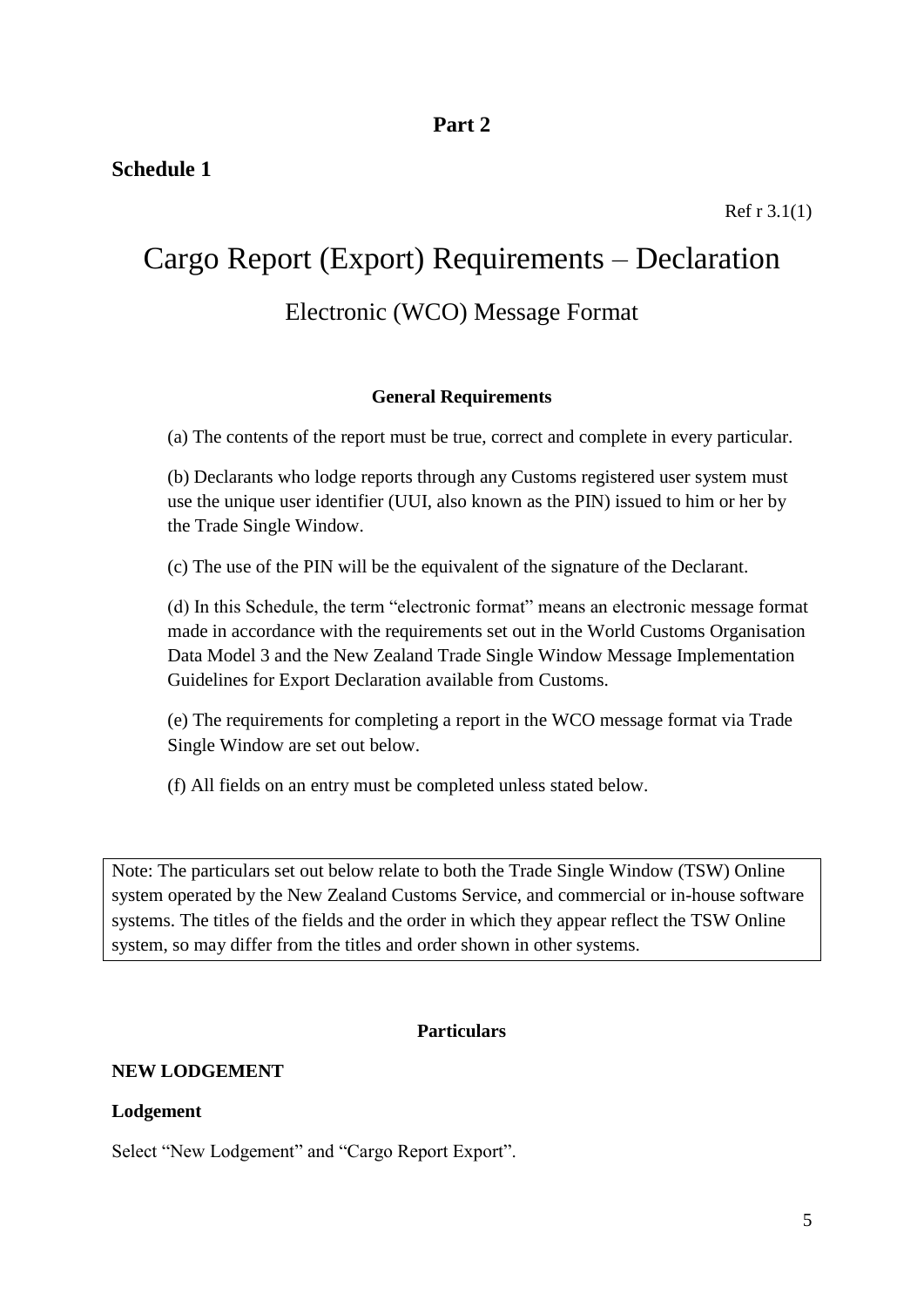#### **Part 2**

#### **Schedule 1**

## Cargo Report (Export) Requirements – Declaration Electronic (WCO) Message Format

#### **General Requirements**

(a) The contents of the report must be true, correct and complete in every particular.

(b) Declarants who lodge reports through any Customs registered user system must use the unique user identifier (UUI, also known as the PIN) issued to him or her by the Trade Single Window.

(c) The use of the PIN will be the equivalent of the signature of the Declarant.

(d) In this Schedule, the term "electronic format" means an electronic message format made in accordance with the requirements set out in the World Customs Organisation Data Model 3 and the New Zealand Trade Single Window Message Implementation Guidelines for Export Declaration available from Customs.

(e) The requirements for completing a report in the WCO message format via Trade Single Window are set out below.

(f) All fields on an entry must be completed unless stated below.

Note: The particulars set out below relate to both the Trade Single Window (TSW) Online system operated by the New Zealand Customs Service, and commercial or in-house software systems. The titles of the fields and the order in which they appear reflect the TSW Online system, so may differ from the titles and order shown in other systems.

#### **Particulars**

#### **NEW LODGEMENT**

#### **Lodgement**

Select "New Lodgement" and "Cargo Report Export".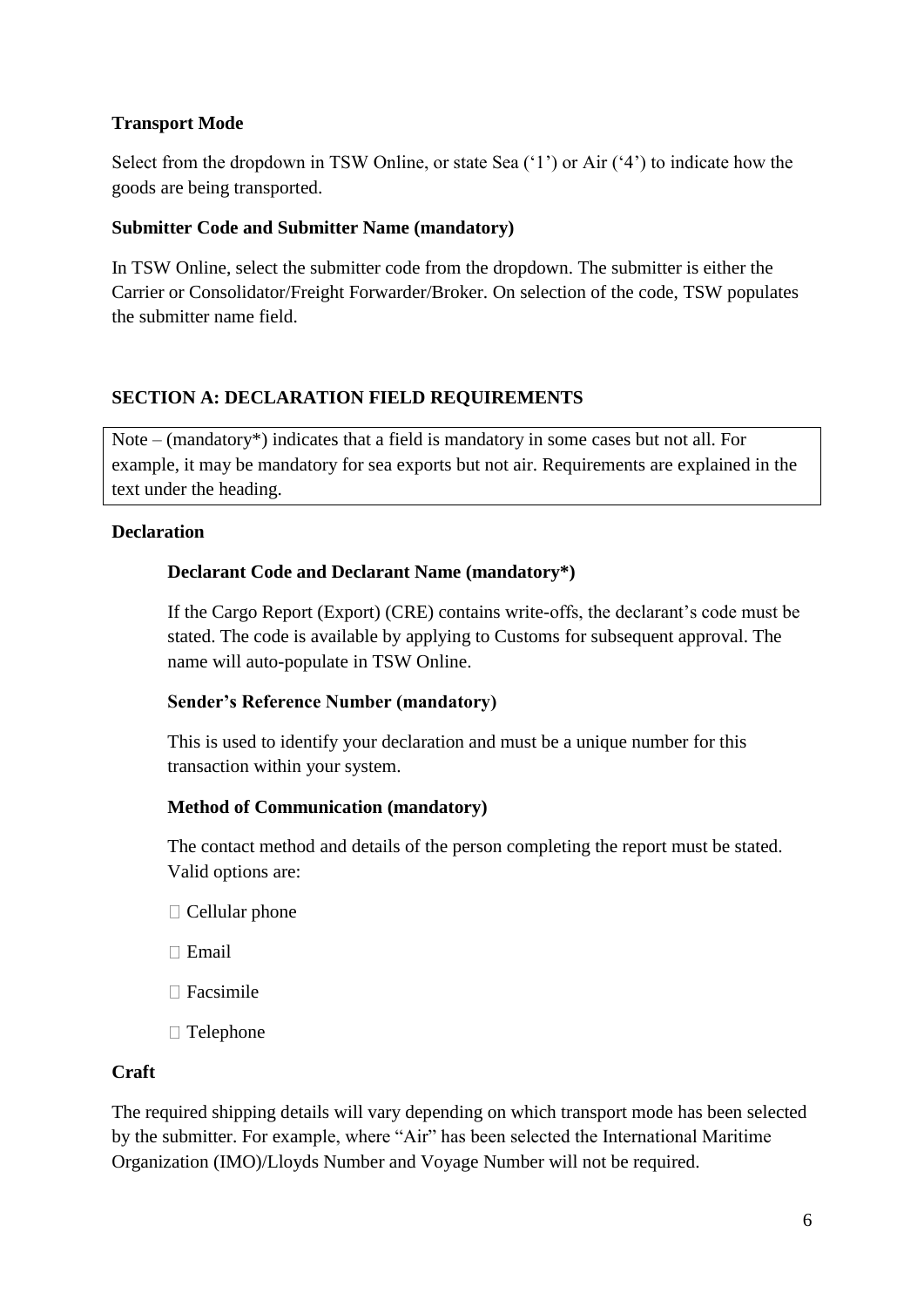#### **Transport Mode**

Select from the dropdown in TSW Online, or state Sea ('1') or Air ('4') to indicate how the goods are being transported.

#### **Submitter Code and Submitter Name (mandatory)**

In TSW Online, select the submitter code from the dropdown. The submitter is either the Carrier or Consolidator/Freight Forwarder/Broker. On selection of the code, TSW populates the submitter name field.

#### **SECTION A: DECLARATION FIELD REQUIREMENTS**

Note – (mandatory\*) indicates that a field is mandatory in some cases but not all. For example, it may be mandatory for sea exports but not air. Requirements are explained in the text under the heading.

#### **Declaration**

#### **Declarant Code and Declarant Name (mandatory\*)**

If the Cargo Report (Export) (CRE) contains write-offs, the declarant's code must be stated. The code is available by applying to Customs for subsequent approval. The name will auto-populate in TSW Online.

#### **Sender's Reference Number (mandatory)**

This is used to identify your declaration and must be a unique number for this transaction within your system.

#### **Method of Communication (mandatory)**

The contact method and details of the person completing the report must be stated. Valid options are:

 $\Box$  Cellular phone

 $\Box$  Email

- $\Box$  Facsimile
- $\Box$  Telephone

#### **Craft**

The required shipping details will vary depending on which transport mode has been selected by the submitter. For example, where "Air" has been selected the International Maritime Organization (IMO)/Lloyds Number and Voyage Number will not be required.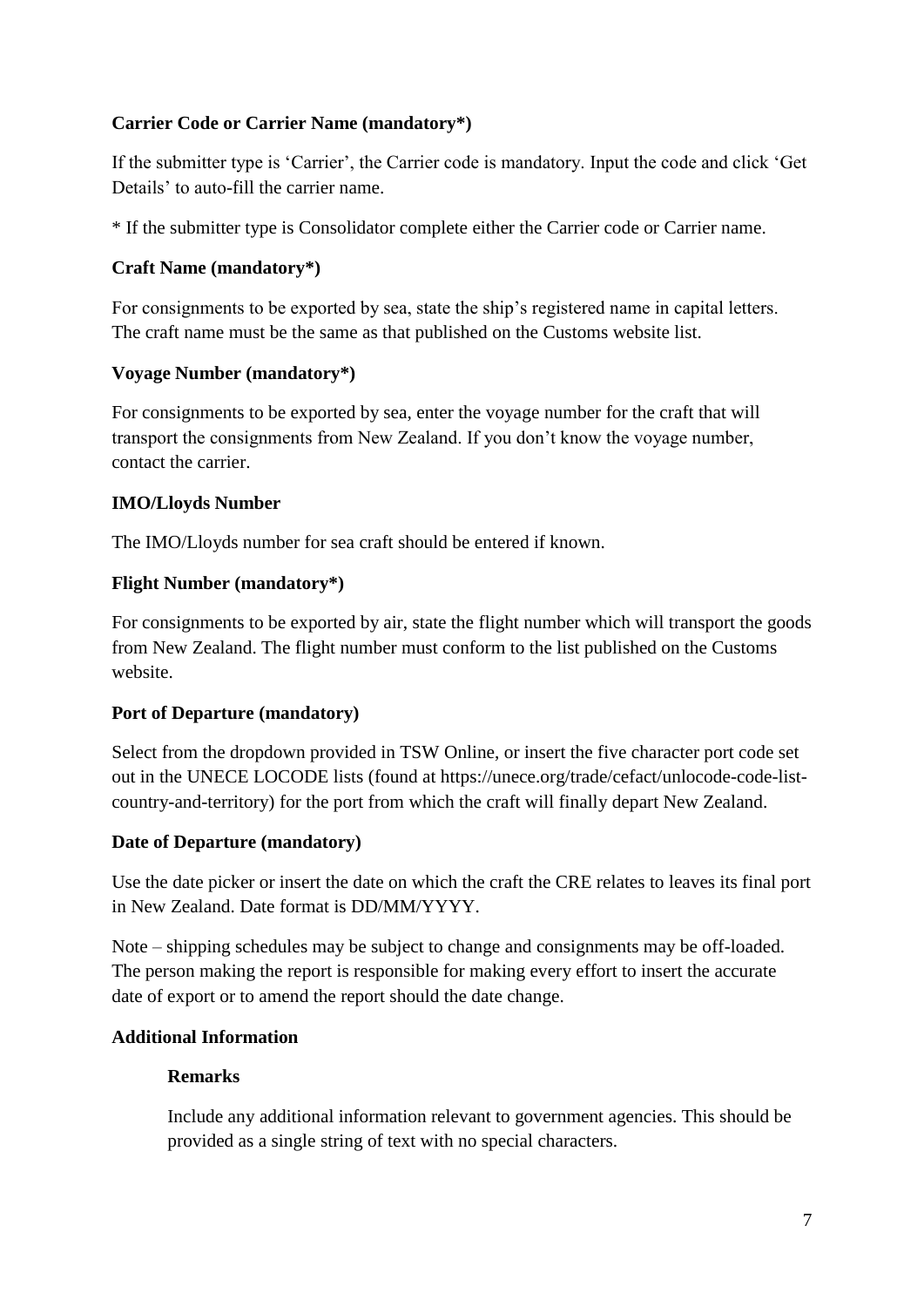#### **Carrier Code or Carrier Name (mandatory\*)**

If the submitter type is 'Carrier', the Carrier code is mandatory. Input the code and click 'Get Details' to auto-fill the carrier name.

\* If the submitter type is Consolidator complete either the Carrier code or Carrier name.

#### **Craft Name (mandatory\*)**

For consignments to be exported by sea, state the ship's registered name in capital letters. The craft name must be the same as that published on the Customs website list.

#### **Voyage Number (mandatory\*)**

For consignments to be exported by sea, enter the voyage number for the craft that will transport the consignments from New Zealand. If you don't know the voyage number, contact the carrier.

#### **IMO/Lloyds Number**

The IMO/Lloyds number for sea craft should be entered if known.

#### **Flight Number (mandatory\*)**

For consignments to be exported by air, state the flight number which will transport the goods from New Zealand. The flight number must conform to the list published on the Customs website.

#### **Port of Departure (mandatory)**

Select from the dropdown provided in TSW Online, or insert the five character port code set out in the UNECE LOCODE lists (found at https://unece.org/trade/cefact/unlocode-code-listcountry-and-territory) for the port from which the craft will finally depart New Zealand.

#### **Date of Departure (mandatory)**

Use the date picker or insert the date on which the craft the CRE relates to leaves its final port in New Zealand. Date format is DD/MM/YYYY.

Note – shipping schedules may be subject to change and consignments may be off-loaded. The person making the report is responsible for making every effort to insert the accurate date of export or to amend the report should the date change.

#### **Additional Information**

#### **Remarks**

Include any additional information relevant to government agencies. This should be provided as a single string of text with no special characters.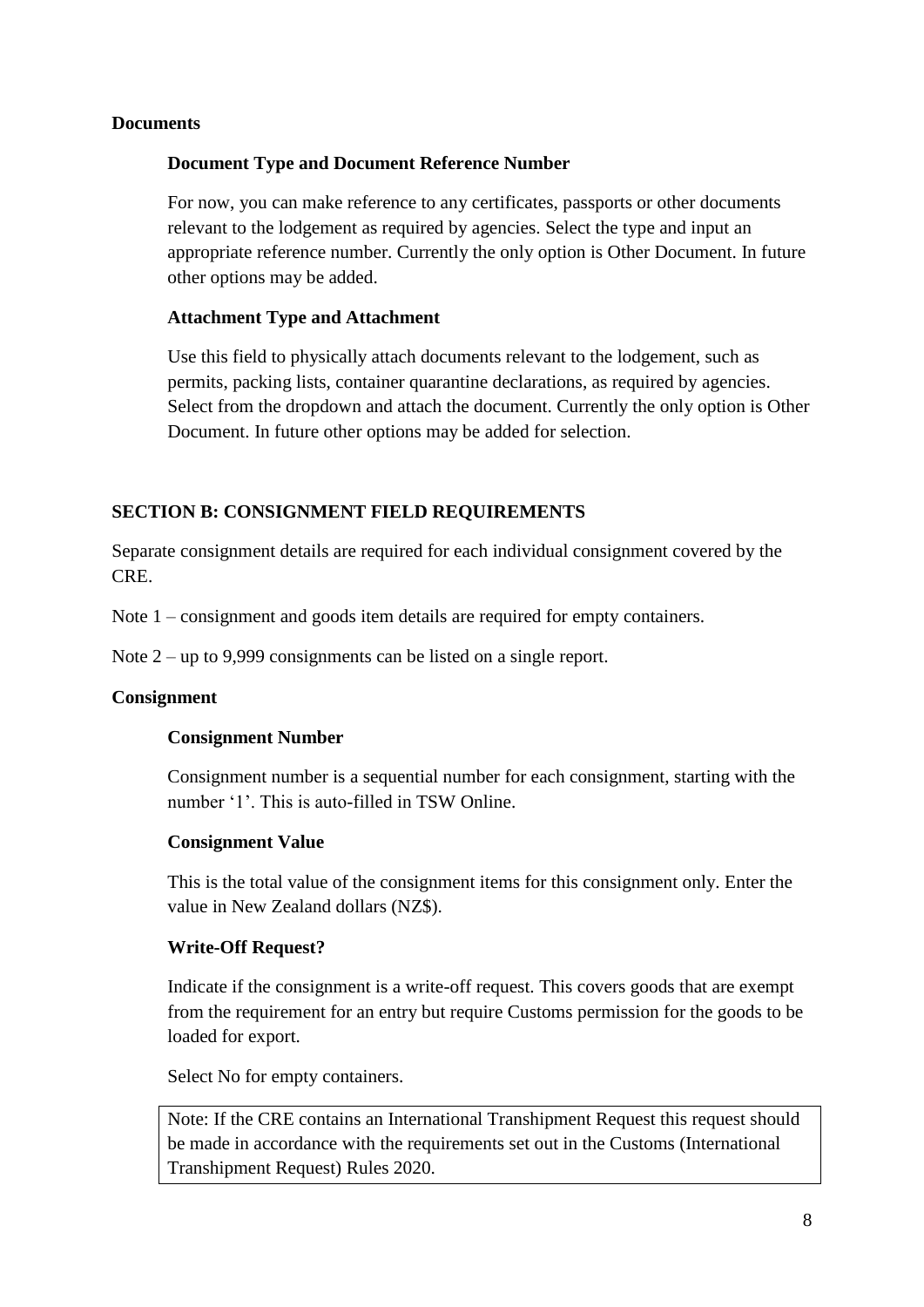#### **Documents**

#### **Document Type and Document Reference Number**

For now, you can make reference to any certificates, passports or other documents relevant to the lodgement as required by agencies. Select the type and input an appropriate reference number. Currently the only option is Other Document. In future other options may be added.

#### **Attachment Type and Attachment**

Use this field to physically attach documents relevant to the lodgement, such as permits, packing lists, container quarantine declarations, as required by agencies. Select from the dropdown and attach the document. Currently the only option is Other Document. In future other options may be added for selection.

#### **SECTION B: CONSIGNMENT FIELD REQUIREMENTS**

Separate consignment details are required for each individual consignment covered by the CRE.

Note 1 – consignment and goods item details are required for empty containers.

Note 2 – up to 9,999 consignments can be listed on a single report.

#### **Consignment**

#### **Consignment Number**

Consignment number is a sequential number for each consignment, starting with the number '1'. This is auto-filled in TSW Online.

#### **Consignment Value**

This is the total value of the consignment items for this consignment only. Enter the value in New Zealand dollars (NZ\$).

#### **Write-Off Request?**

Indicate if the consignment is a write-off request. This covers goods that are exempt from the requirement for an entry but require Customs permission for the goods to be loaded for export.

Select No for empty containers.

Note: If the CRE contains an International Transhipment Request this request should be made in accordance with the requirements set out in the Customs (International Transhipment Request) Rules 2020.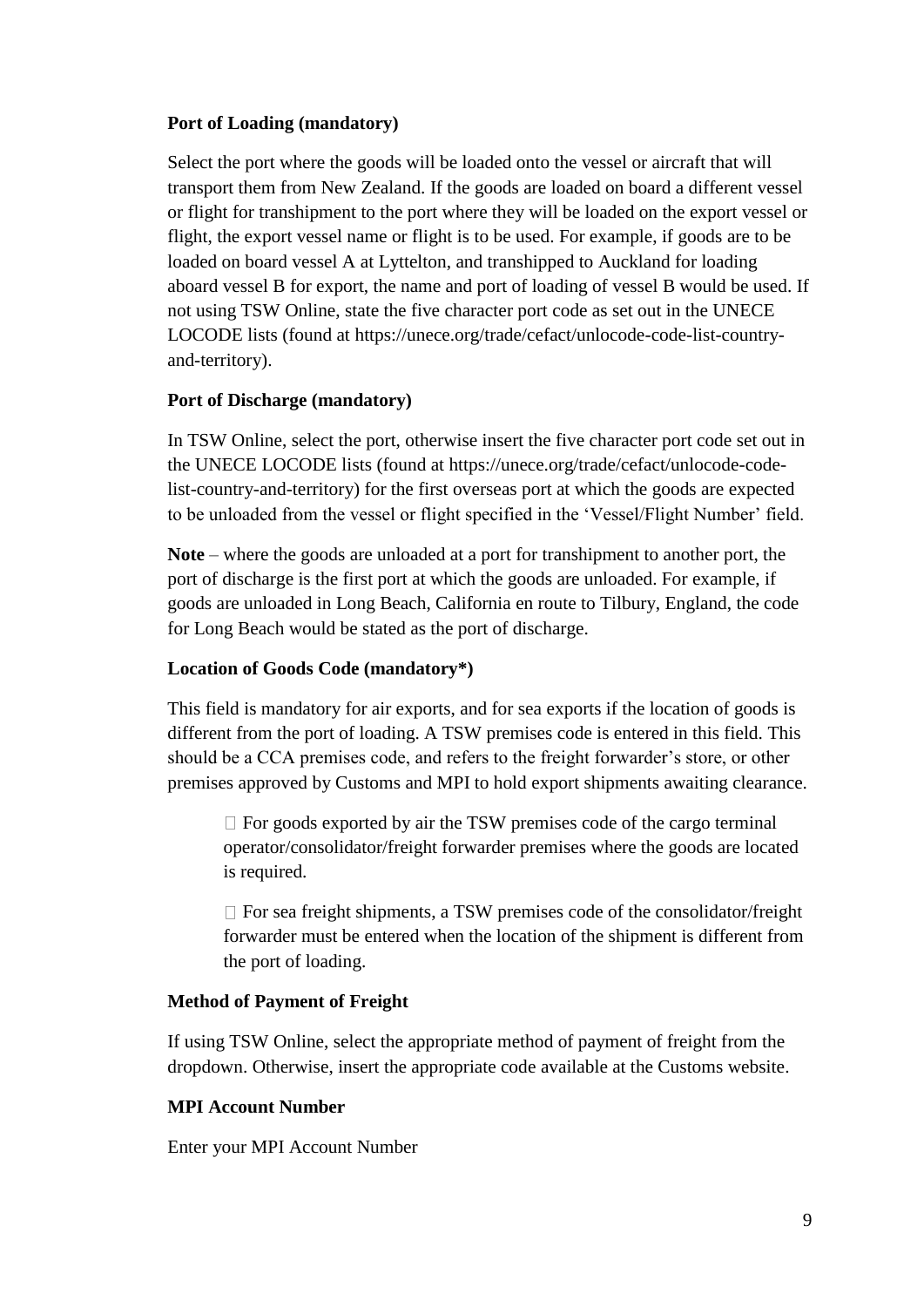#### **Port of Loading (mandatory)**

Select the port where the goods will be loaded onto the vessel or aircraft that will transport them from New Zealand. If the goods are loaded on board a different vessel or flight for transhipment to the port where they will be loaded on the export vessel or flight, the export vessel name or flight is to be used. For example, if goods are to be loaded on board vessel A at Lyttelton, and transhipped to Auckland for loading aboard vessel B for export, the name and port of loading of vessel B would be used. If not using TSW Online, state the five character port code as set out in the UNECE LOCODE lists (found at https://unece.org/trade/cefact/unlocode-code-list-countryand-territory).

#### **Port of Discharge (mandatory)**

In TSW Online, select the port, otherwise insert the five character port code set out in the UNECE LOCODE lists (found at https://unece.org/trade/cefact/unlocode-codelist-country-and-territory) for the first overseas port at which the goods are expected to be unloaded from the vessel or flight specified in the 'Vessel/Flight Number' field.

**Note** – where the goods are unloaded at a port for transhipment to another port, the port of discharge is the first port at which the goods are unloaded. For example, if goods are unloaded in Long Beach, California en route to Tilbury, England, the code for Long Beach would be stated as the port of discharge.

#### **Location of Goods Code (mandatory\*)**

This field is mandatory for air exports, and for sea exports if the location of goods is different from the port of loading. A TSW premises code is entered in this field. This should be a CCA premises code, and refers to the freight forwarder's store, or other premises approved by Customs and MPI to hold export shipments awaiting clearance.

 $\Box$  For goods exported by air the TSW premises code of the cargo terminal operator/consolidator/freight forwarder premises where the goods are located is required.

 $\Box$  For sea freight shipments, a TSW premises code of the consolidator/freight forwarder must be entered when the location of the shipment is different from the port of loading.

#### **Method of Payment of Freight**

If using TSW Online, select the appropriate method of payment of freight from the dropdown. Otherwise, insert the appropriate code available at the Customs website.

#### **MPI Account Number**

Enter your MPI Account Number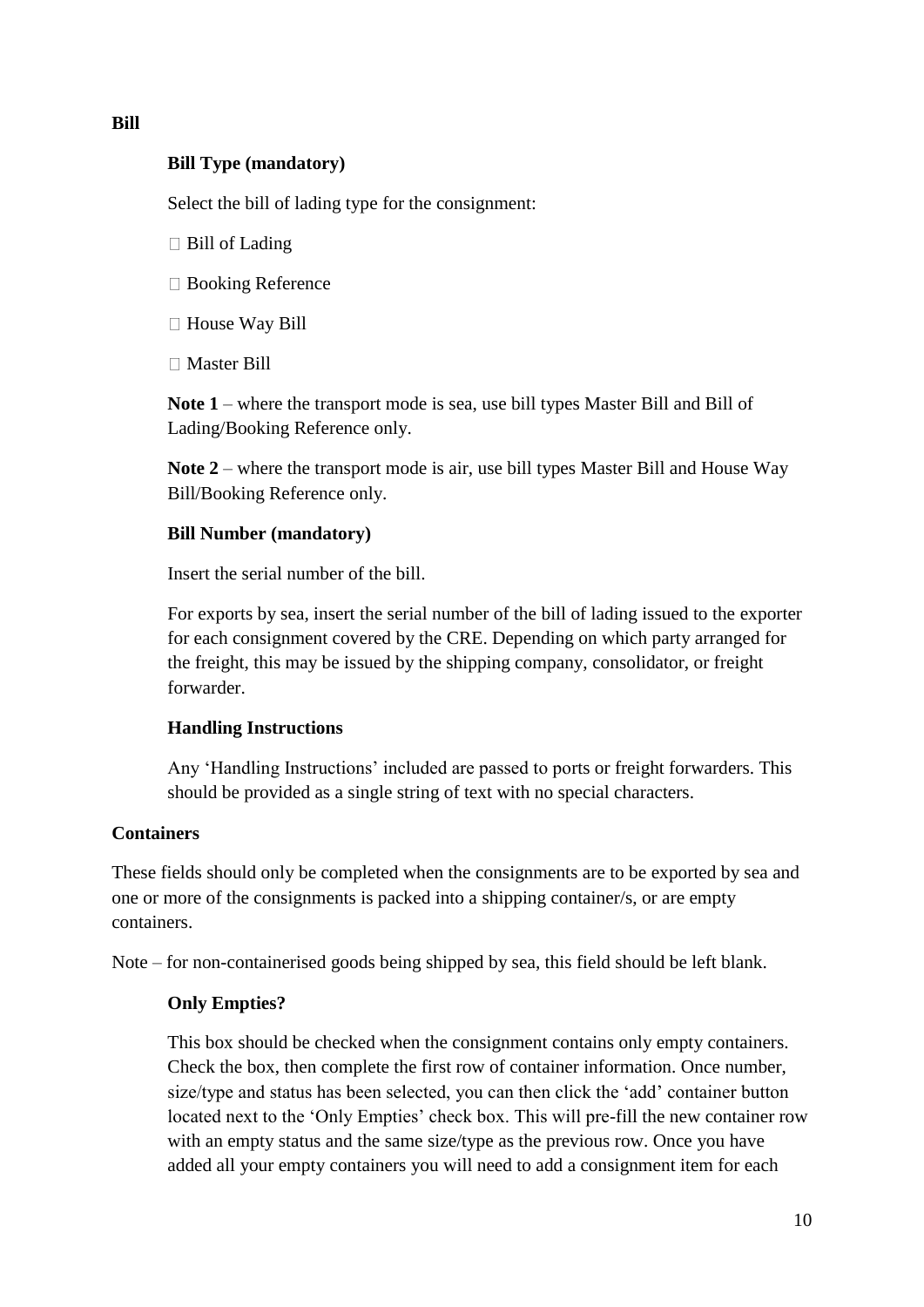#### **Bill**

#### **Bill Type (mandatory)**

Select the bill of lading type for the consignment:

 $\Box$  Bill of Lading

- □ Booking Reference
- House Way Bill
- Master Bill

**Note 1** – where the transport mode is sea, use bill types Master Bill and Bill of Lading/Booking Reference only.

**Note 2** – where the transport mode is air, use bill types Master Bill and House Way Bill/Booking Reference only.

#### **Bill Number (mandatory)**

Insert the serial number of the bill.

For exports by sea, insert the serial number of the bill of lading issued to the exporter for each consignment covered by the CRE. Depending on which party arranged for the freight, this may be issued by the shipping company, consolidator, or freight forwarder.

#### **Handling Instructions**

Any 'Handling Instructions' included are passed to ports or freight forwarders. This should be provided as a single string of text with no special characters.

#### **Containers**

These fields should only be completed when the consignments are to be exported by sea and one or more of the consignments is packed into a shipping container/s, or are empty containers.

Note – for non-containerised goods being shipped by sea, this field should be left blank.

#### **Only Empties?**

This box should be checked when the consignment contains only empty containers. Check the box, then complete the first row of container information. Once number, size/type and status has been selected, you can then click the 'add' container button located next to the 'Only Empties' check box. This will pre-fill the new container row with an empty status and the same size/type as the previous row. Once you have added all your empty containers you will need to add a consignment item for each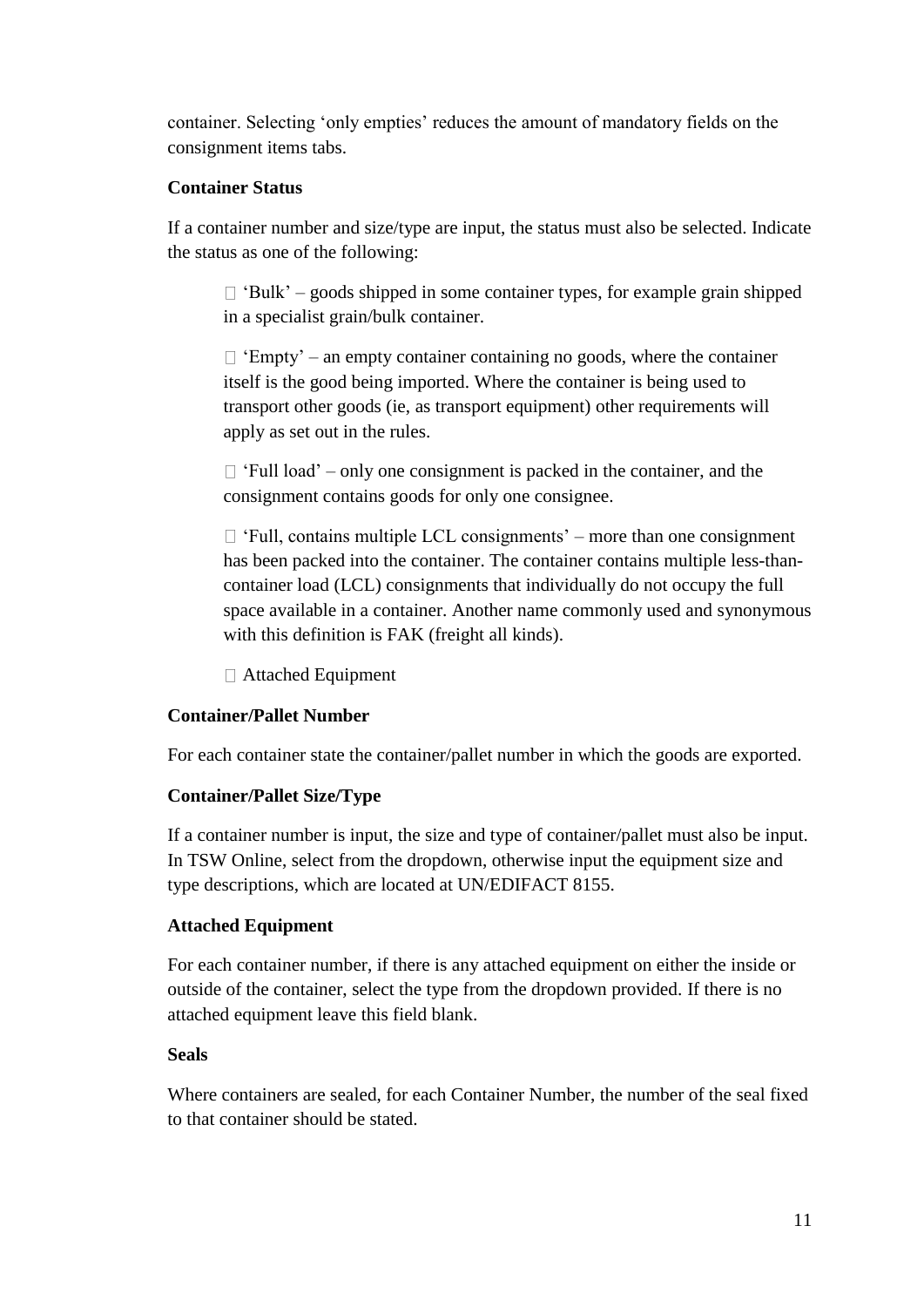container. Selecting 'only empties' reduces the amount of mandatory fields on the consignment items tabs.

#### **Container Status**

If a container number and size/type are input, the status must also be selected. Indicate the status as one of the following:

 $\Box$  'Bulk' – goods shipped in some container types, for example grain shipped in a specialist grain/bulk container.

 $\Box$  'Empty' – an empty container containing no goods, where the container itself is the good being imported. Where the container is being used to transport other goods (ie, as transport equipment) other requirements will apply as set out in the rules.

 $\Box$  'Full load' – only one consignment is packed in the container, and the consignment contains goods for only one consignee.

 $\Box$  'Full, contains multiple LCL consignments' – more than one consignment has been packed into the container. The container contains multiple less-thancontainer load (LCL) consignments that individually do not occupy the full space available in a container. Another name commonly used and synonymous with this definition is FAK (freight all kinds).

Attached Equipment

#### **Container/Pallet Number**

For each container state the container/pallet number in which the goods are exported.

#### **Container/Pallet Size/Type**

If a container number is input, the size and type of container/pallet must also be input. In TSW Online, select from the dropdown, otherwise input the equipment size and type descriptions, which are located at UN/EDIFACT 8155.

#### **Attached Equipment**

For each container number, if there is any attached equipment on either the inside or outside of the container, select the type from the dropdown provided. If there is no attached equipment leave this field blank.

#### **Seals**

Where containers are sealed, for each Container Number, the number of the seal fixed to that container should be stated.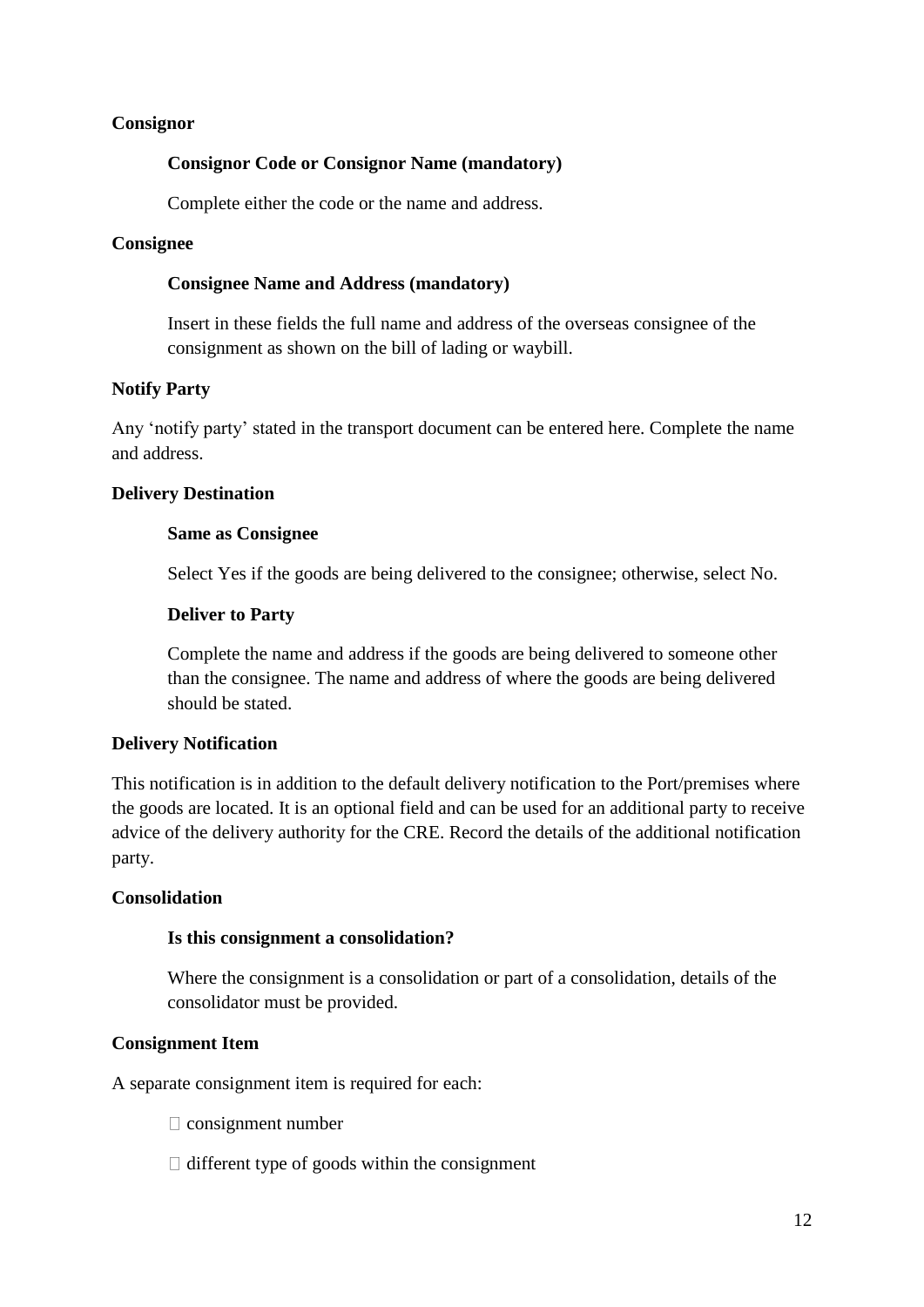#### **Consignor**

#### **Consignor Code or Consignor Name (mandatory)**

Complete either the code or the name and address.

#### **Consignee**

#### **Consignee Name and Address (mandatory)**

Insert in these fields the full name and address of the overseas consignee of the consignment as shown on the bill of lading or waybill.

#### **Notify Party**

Any 'notify party' stated in the transport document can be entered here. Complete the name and address.

#### **Delivery Destination**

#### **Same as Consignee**

Select Yes if the goods are being delivered to the consignee; otherwise, select No.

#### **Deliver to Party**

Complete the name and address if the goods are being delivered to someone other than the consignee. The name and address of where the goods are being delivered should be stated.

#### **Delivery Notification**

This notification is in addition to the default delivery notification to the Port/premises where the goods are located. It is an optional field and can be used for an additional party to receive advice of the delivery authority for the CRE. Record the details of the additional notification party.

#### **Consolidation**

#### **Is this consignment a consolidation?**

Where the consignment is a consolidation or part of a consolidation, details of the consolidator must be provided.

#### **Consignment Item**

A separate consignment item is required for each:

- $\Box$  consignment number
- $\Box$  different type of goods within the consignment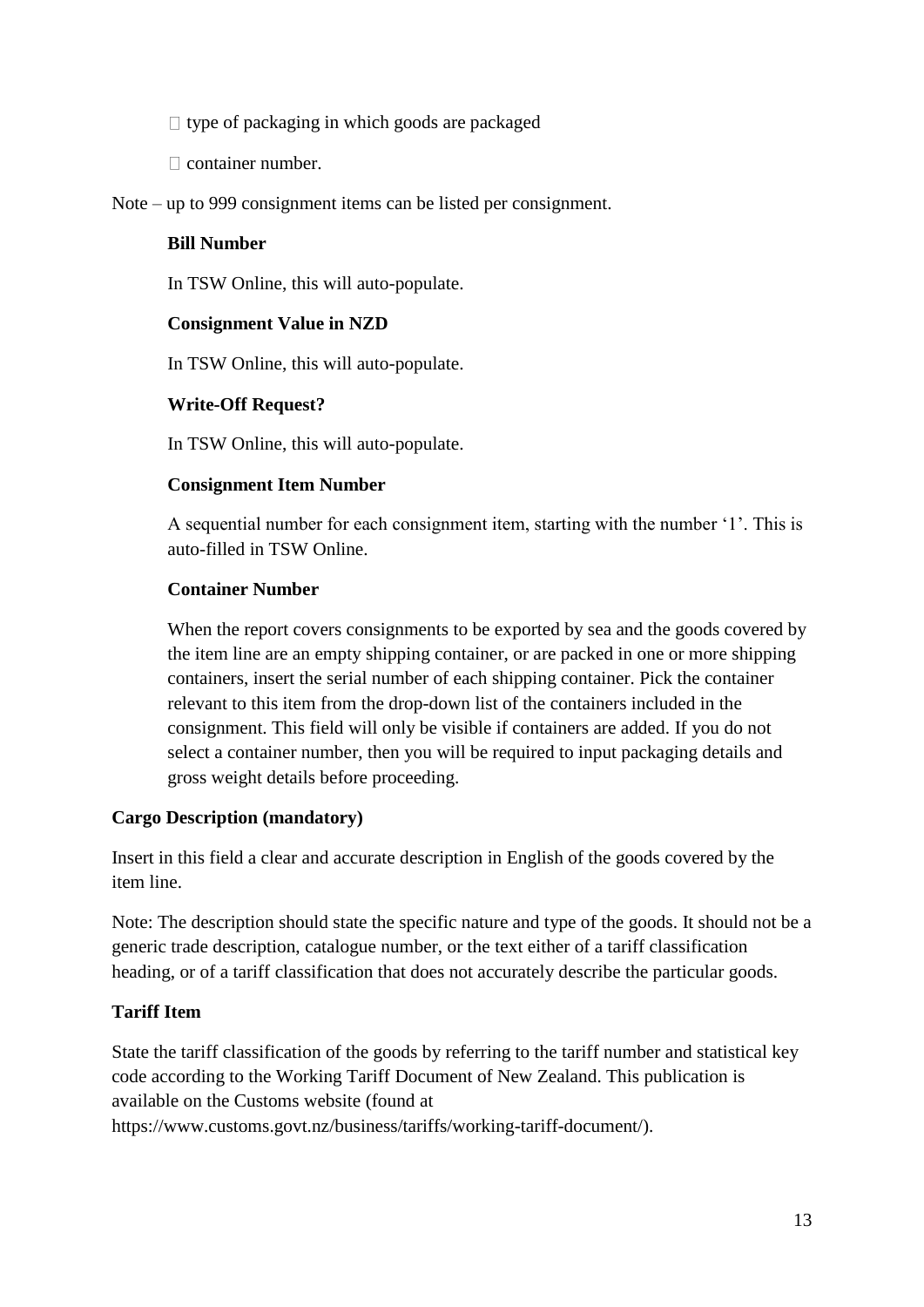$\Box$  type of packaging in which goods are packaged

 $\Box$  container number.

Note – up to 999 consignment items can be listed per consignment.

#### **Bill Number**

In TSW Online, this will auto-populate.

#### **Consignment Value in NZD**

In TSW Online, this will auto-populate.

#### **Write-Off Request?**

In TSW Online, this will auto-populate.

#### **Consignment Item Number**

A sequential number for each consignment item, starting with the number '1'. This is auto-filled in TSW Online.

#### **Container Number**

When the report covers consignments to be exported by sea and the goods covered by the item line are an empty shipping container, or are packed in one or more shipping containers, insert the serial number of each shipping container. Pick the container relevant to this item from the drop-down list of the containers included in the consignment. This field will only be visible if containers are added. If you do not select a container number, then you will be required to input packaging details and gross weight details before proceeding.

#### **Cargo Description (mandatory)**

Insert in this field a clear and accurate description in English of the goods covered by the item line.

Note: The description should state the specific nature and type of the goods. It should not be a generic trade description, catalogue number, or the text either of a tariff classification heading, or of a tariff classification that does not accurately describe the particular goods.

#### **Tariff Item**

State the tariff classification of the goods by referring to the tariff number and statistical key code according to the Working Tariff Document of New Zealand. This publication is available on the Customs website (found at

https://www.customs.govt.nz/business/tariffs/working-tariff-document/).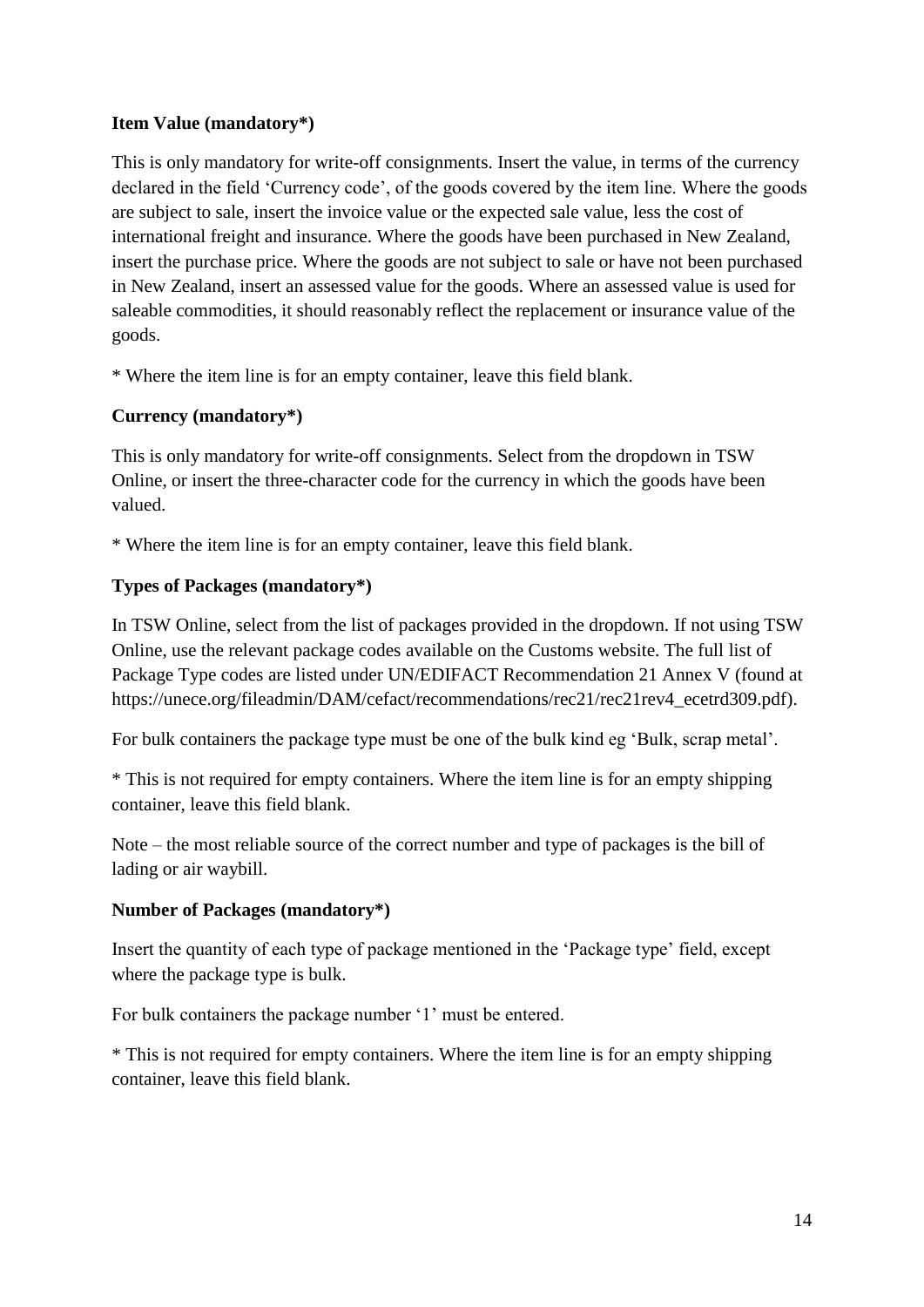#### **Item Value (mandatory\*)**

This is only mandatory for write-off consignments. Insert the value, in terms of the currency declared in the field 'Currency code', of the goods covered by the item line. Where the goods are subject to sale, insert the invoice value or the expected sale value, less the cost of international freight and insurance. Where the goods have been purchased in New Zealand, insert the purchase price. Where the goods are not subject to sale or have not been purchased in New Zealand, insert an assessed value for the goods. Where an assessed value is used for saleable commodities, it should reasonably reflect the replacement or insurance value of the goods.

\* Where the item line is for an empty container, leave this field blank.

#### **Currency (mandatory\*)**

This is only mandatory for write-off consignments. Select from the dropdown in TSW Online, or insert the three-character code for the currency in which the goods have been valued.

\* Where the item line is for an empty container, leave this field blank.

#### **Types of Packages (mandatory\*)**

In TSW Online, select from the list of packages provided in the dropdown. If not using TSW Online, use the relevant package codes available on the Customs website. The full list of Package Type codes are listed under UN/EDIFACT Recommendation 21 Annex V (found at https://unece.org/fileadmin/DAM/cefact/recommendations/rec21/rec21rev4\_ecetrd309.pdf).

For bulk containers the package type must be one of the bulk kind eg 'Bulk, scrap metal'.

\* This is not required for empty containers. Where the item line is for an empty shipping container, leave this field blank.

Note – the most reliable source of the correct number and type of packages is the bill of lading or air waybill.

#### **Number of Packages (mandatory\*)**

Insert the quantity of each type of package mentioned in the 'Package type' field, except where the package type is bulk.

For bulk containers the package number '1' must be entered.

\* This is not required for empty containers. Where the item line is for an empty shipping container, leave this field blank.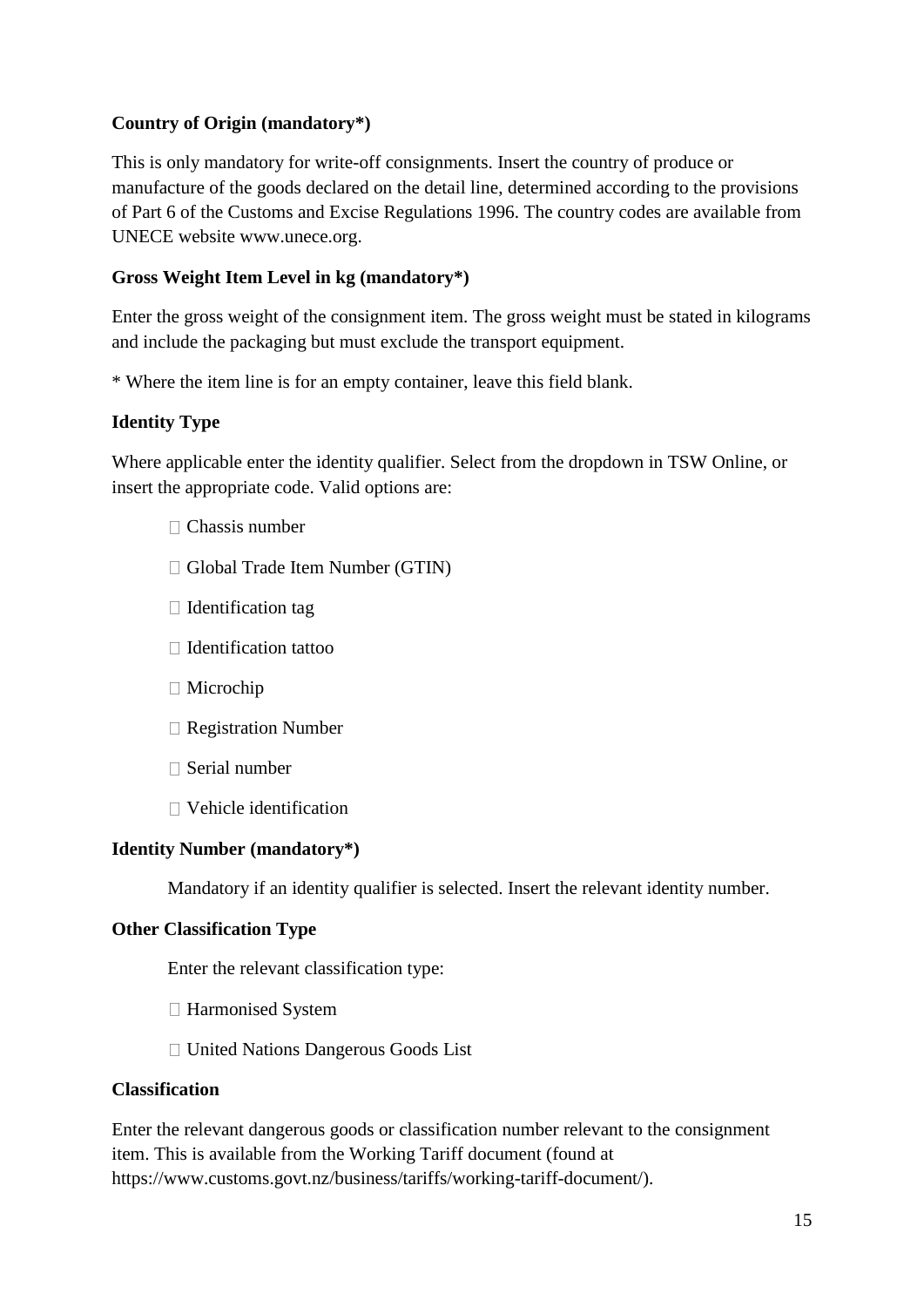#### **Country of Origin (mandatory\*)**

This is only mandatory for write-off consignments. Insert the country of produce or manufacture of the goods declared on the detail line, determined according to the provisions of Part 6 of the Customs and Excise Regulations 1996. The country codes are available from UNECE website www.unece.org.

#### **Gross Weight Item Level in kg (mandatory\*)**

Enter the gross weight of the consignment item. The gross weight must be stated in kilograms and include the packaging but must exclude the transport equipment.

\* Where the item line is for an empty container, leave this field blank.

#### **Identity Type**

Where applicable enter the identity qualifier. Select from the dropdown in TSW Online, or insert the appropriate code. Valid options are:

 $\Box$  Chassis number

Global Trade Item Number (GTIN)

- $\Box$  Identification tag
- $\Box$  Identification tattoo
- Microchip
- $\Box$  Registration Number
- $\Box$  Serial number
- $\Box$  Vehicle identification

#### **Identity Number (mandatory\*)**

Mandatory if an identity qualifier is selected. Insert the relevant identity number.

#### **Other Classification Type**

Enter the relevant classification type:

- □ Harmonised System
- □ United Nations Dangerous Goods List

#### **Classification**

Enter the relevant dangerous goods or classification number relevant to the consignment item. This is available from the Working Tariff document (found at https://www.customs.govt.nz/business/tariffs/working-tariff-document/).